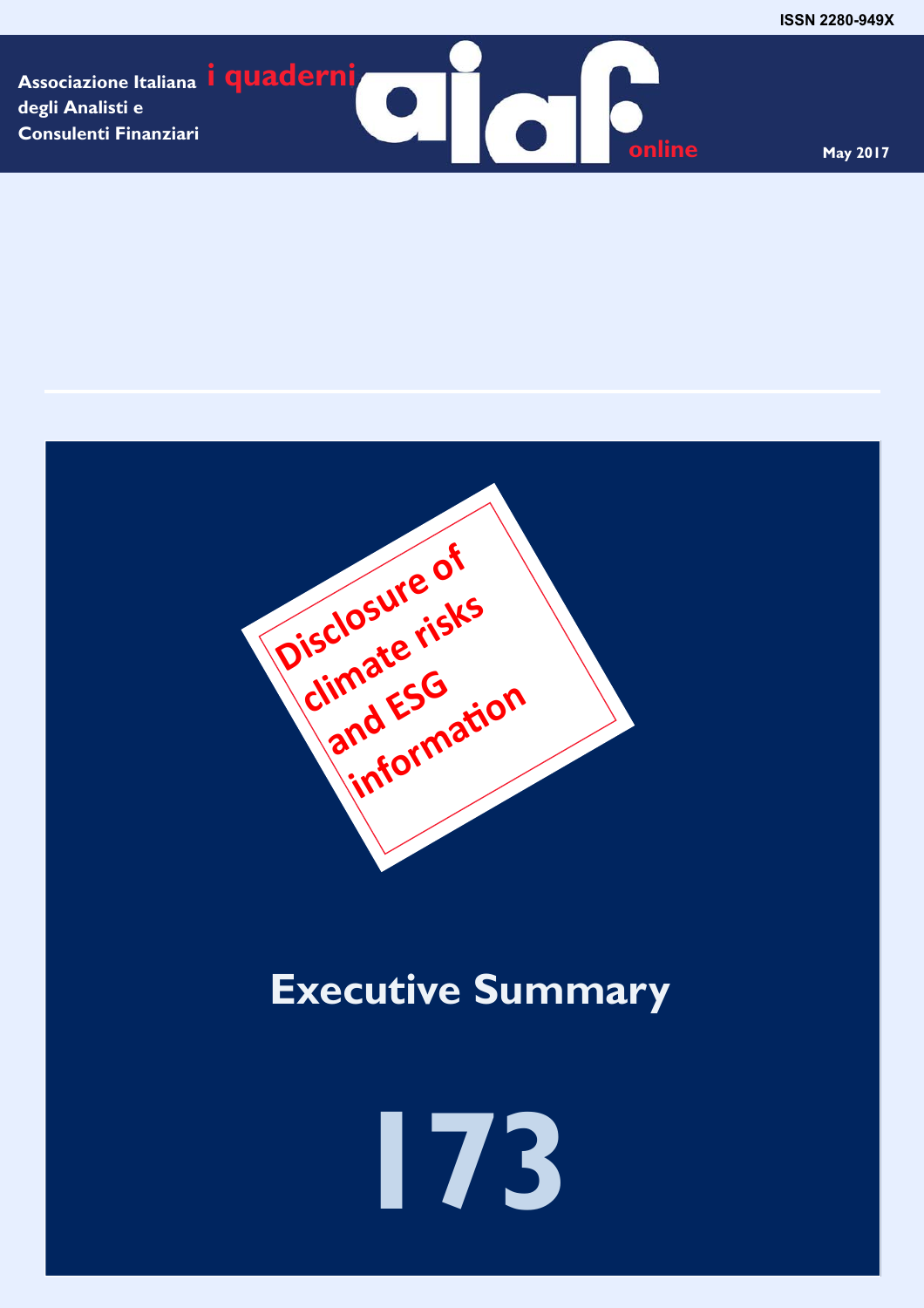**Associazione Italiana i quaderni degli Analisti e Consulenti Finanziari** 

**online** May 2017



# **Executive Summary**

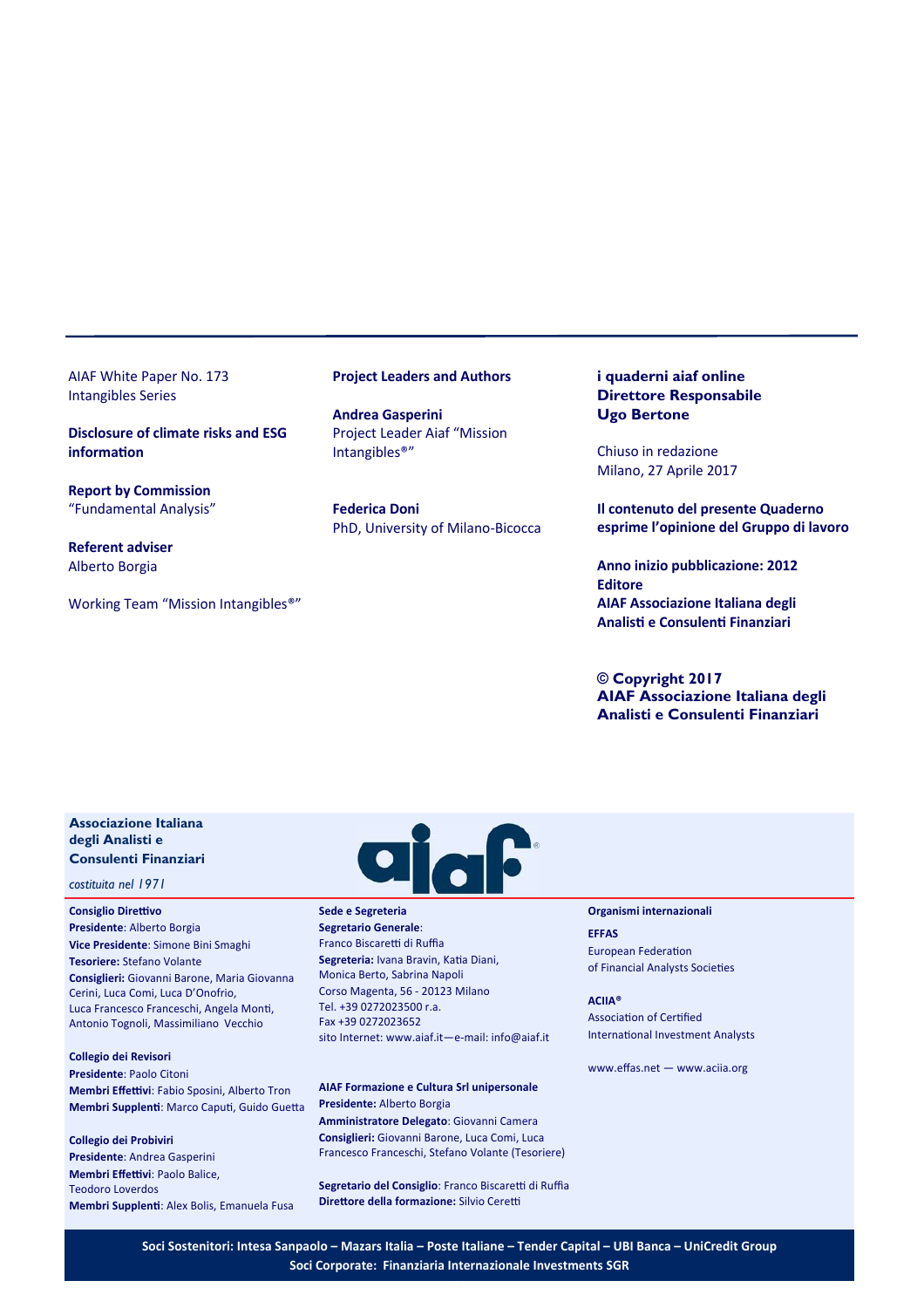AIAF White Paper No. 173 Intangibles Series

**Disclosure of climate risks and ESG informaƟon** 

**Report by Commission**  "Fundamental Analysis"

**Referent adviser**  Alberto Borgia

Working Team "Mission Intangibles®"

#### **Project Leaders and Authors**

**Andrea Gasperini**  Project Leader Aiaf "Mission Intangibles®"

**Federica Doni**  PhD, University of Milano‐Bicocca

# **i quaderni aiaf online Direttore Responsabile Ugo Bertone**

Chiuso in redazione Milano, 27 Aprile 2017

**Il contenuto del presente Quaderno esprime l'opinione del Gruppo di lavoro** 

**Anno inizio pubblicazione: 2012 Editore AIAF Associazione Italiana degli AnalisƟ e ConsulenƟ Finanziari** 

**© Copyright 2017 AIAF Associazione Italiana degli Analisti e Consulenti Finanziari**

# **Associazione Italiana degli Analisti e Consulenti Finanziari**

*costituita nel 1971* 

**Consiglio Direttivo Presidente**: Alberto Borgia **Vice Presidente**: Simone Bini Smaghi **Tesoriere:** Stefano Volante **Consiglieri:** Giovanni Barone, Maria Giovanna Cerini, Luca Comi, Luca D'Onofrio, Luca Francesco Franceschi, Angela Monti, Antonio Tognoli, Massimiliano Vecchio

**Collegio dei Revisori Presidente**: Paolo Citoni **Membri Effettivi**: Fabio Sposini, Alberto Tron Membri Supplenti: Marco Caputi, Guido Guetta

**Collegio dei Probiviri Presidente**: Andrea Gasperini **Membri Effettivi: Paolo Balice,** Teodoro Loverdos **Membri SupplenƟ**: Alex Bolis, Emanuela Fusa



**Sede e Segreteria Segretario Generale**: Franco Biscaretti di Ruffia Segreteria: Ivana Bravin, Katia Diani, Monica Berto, Sabrina Napoli Corso Magenta, 56 ‐ 20123 Milano Tel. +39 0272023500 r.a. Fax +39 0272023652 sito Internet: www.aiaf.it—e‐mail: info@aiaf.it

**AIAF Formazione e Cultura Srl unipersonale Presidente:** Alberto Borgia **Amministratore Delegato**: Giovanni Camera **Consiglieri:** Giovanni Barone, Luca Comi, Luca Francesco Franceschi, Stefano Volante (Tesoriere)

Segretario del Consiglio: Franco Biscaretti di Ruffia **Direttore della formazione:** Silvio Ceretti

#### **Organismi internazionali**

**EFFAS**  European Federation of Financial Analysts Societies

**ACIIA®**  Association of Certified International Investment Analysts

www.effas.net — www.aciia.org

**Soci Sostenitori: Intesa Sanpaolo – Mazars Italia – Poste Italiane – Tender Capital – UBI Banca – UniCredit Group Soci Corporate: Finanziaria Internazionale Investments SGR**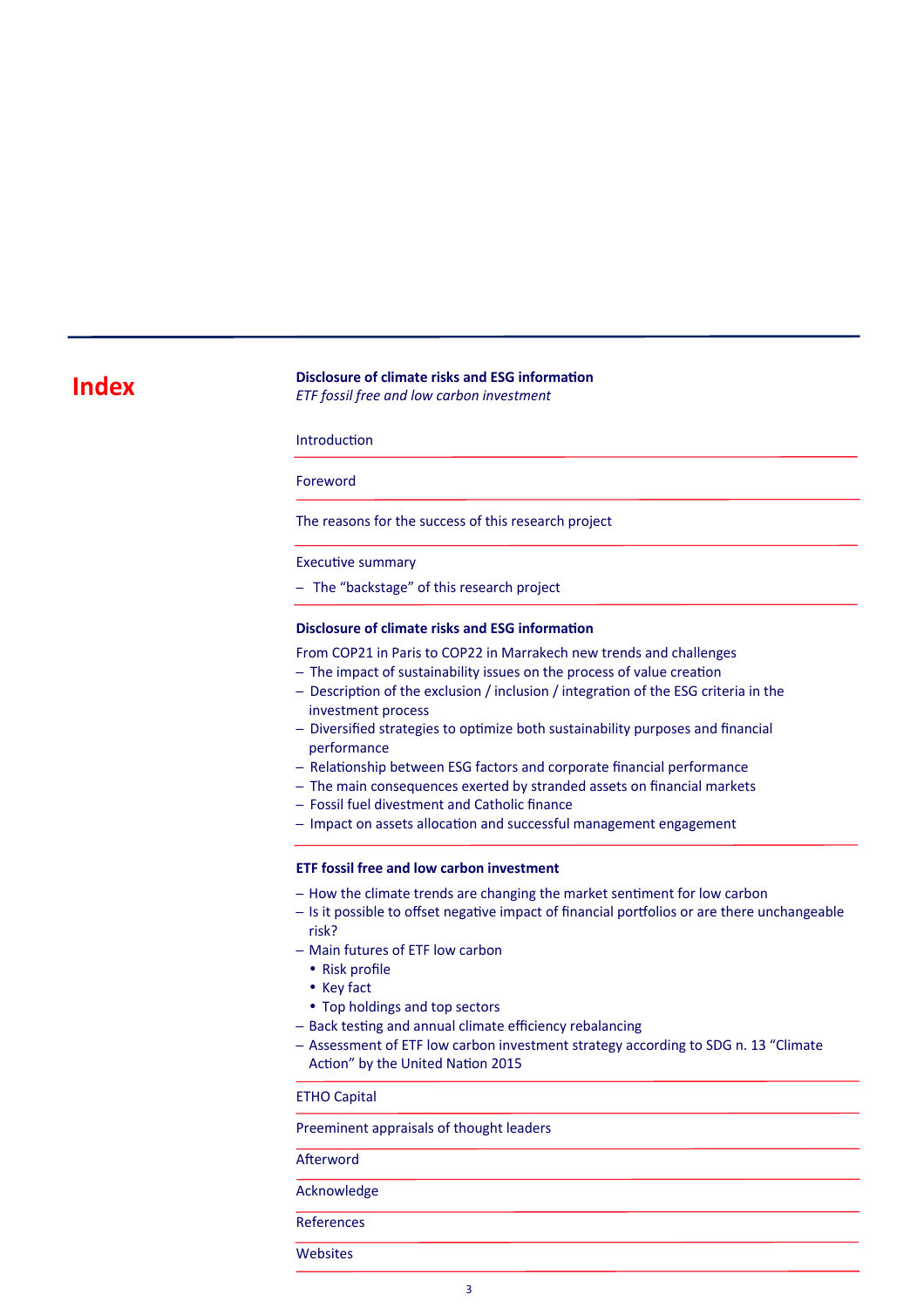# **Index** *Disclosure of climate risks and ESG information***<br>** *EXE face! free and low explan investment*

*ETF fossil free and low carbon investment* 

**Introduction** 

Foreword

The reasons for the success of this research project

#### Executive summary

– The "backstage" of this research project

# **Disclosure of climate risks and ESG information**

From COP21 in Paris to COP22 in Marrakech new trends and challenges

- The impact of sustainability issues on the process of value creation
- Description of the exclusion / inclusion / integration of the ESG criteria in the investment process
- Diversified strategies to optimize both sustainability purposes and financial performance
- Relationship between ESG factors and corporate financial performance
- The main consequences exerted by stranded assets on financial markets
- Fossil fuel divestment and Catholic finance
- Impact on assets allocation and successful management engagement

## **ETF fossil free and low carbon investment**

- How the climate trends are changing the market sentiment for low carbon
- Is it possible to offset negative impact of financial portfolios or are there unchangeable risk?
- Main futures of ETF low carbon
	- Risk profile
	- Key fact
- Top holdings and top sectors
- Back testing and annual climate efficiency rebalancing
- Assessment of ETF low carbon investment strategy according to SDG n. 13 "Climate Action" by the United Nation 2015

ETHO Capital

Preeminent appraisals of thought leaders

Afterword

Acknowledge

References

**Websites**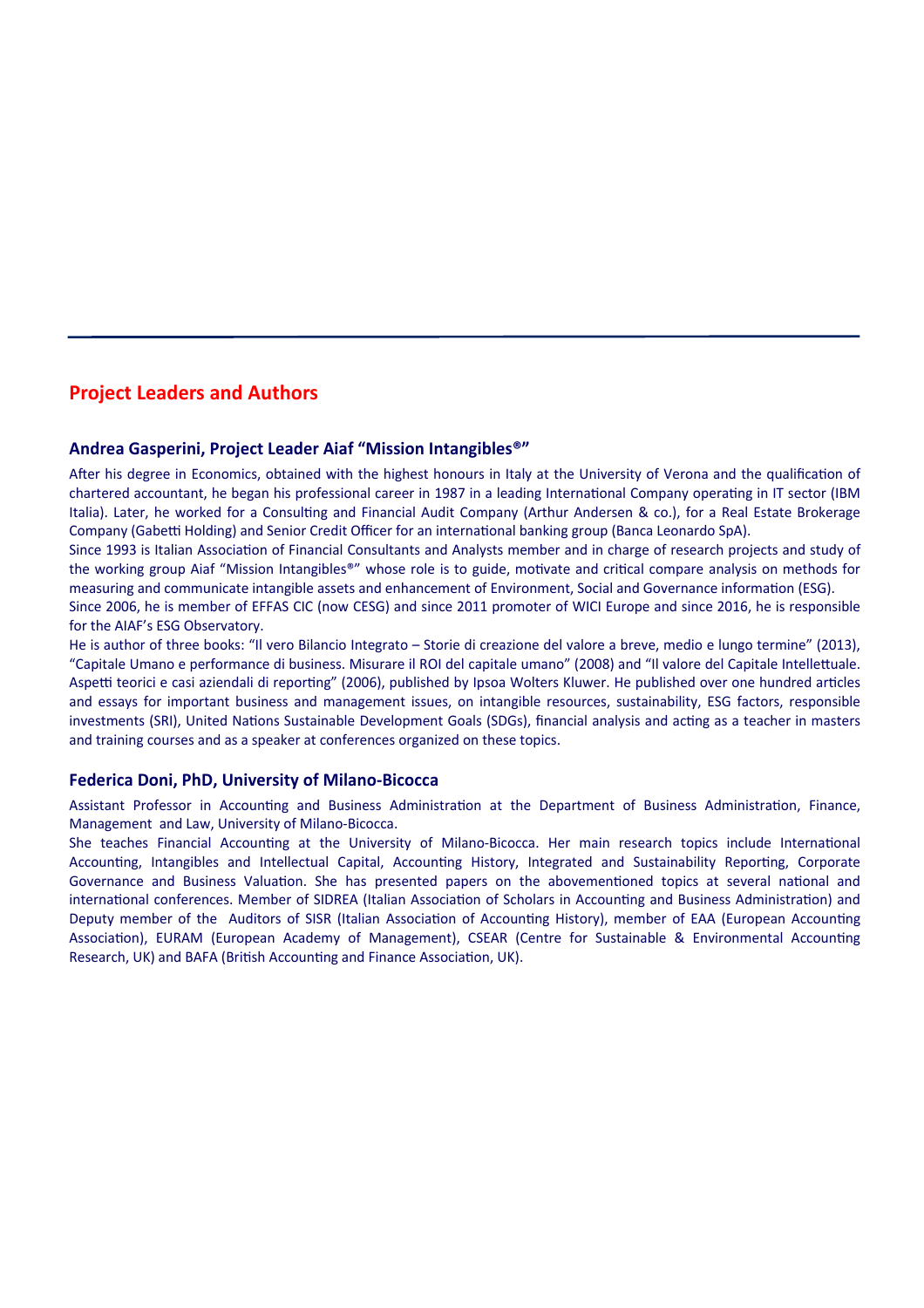# **Project Leaders and Authors**

# **Andrea Gasperini, Project Leader Aiaf "Mission Intangibles®"**

After his degree in Economics, obtained with the highest honours in Italy at the University of Verona and the qualification of chartered accountant, he began his professional career in 1987 in a leading International Company operating in IT sector (IBM Italia). Later, he worked for a Consulting and Financial Audit Company (Arthur Andersen & co.), for a Real Estate Brokerage Company (Gabetti Holding) and Senior Credit Officer for an international banking group (Banca Leonardo SpA).

Since 1993 is Italian Association of Financial Consultants and Analysts member and in charge of research projects and study of the working group Aiaf "Mission Intangibles®" whose role is to guide, motivate and critical compare analysis on methods for measuring and communicate intangible assets and enhancement of Environment, Social and Governance information (ESG).

Since 2006, he is member of EFFAS CIC (now CESG) and since 2011 promoter of WICI Europe and since 2016, he is responsible for the AIAF's ESG Observatory.

He is author of three books: "Il vero Bilancio Integrato – Storie di creazione del valore a breve, medio e lungo termine" (2013), "Capitale Umano e performance di business. Misurare il ROI del capitale umano" (2008) and "Il valore del Capitale Intellettuale. Aspetti teorici e casi aziendali di reporting" (2006), published by Ipsoa Wolters Kluwer. He published over one hundred articles and essays for important business and management issues, on intangible resources, sustainability, ESG factors, responsible investments (SRI), United Nations Sustainable Development Goals (SDGs), financial analysis and acting as a teacher in masters and training courses and as a speaker at conferences organized on these topics.

# **Federica Doni, PhD, University of Milano‐Bicocca**

Assistant Professor in Accounting and Business Administration at the Department of Business Administration, Finance, Management and Law, University of Milano‐Bicocca.

She teaches Financial Accounting at the University of Milano-Bicocca. Her main research topics include International Accounting, Intangibles and Intellectual Capital, Accounting History, Integrated and Sustainability Reporting, Corporate Governance and Business Valuation. She has presented papers on the abovementioned topics at several national and international conferences. Member of SIDREA (Italian Association of Scholars in Accounting and Business Administration) and Deputy member of the Auditors of SISR (Italian Association of Accounting History), member of EAA (European Accounting Association), EURAM (European Academy of Management), CSEAR (Centre for Sustainable & Environmental Accounting Research, UK) and BAFA (British Accounting and Finance Association, UK).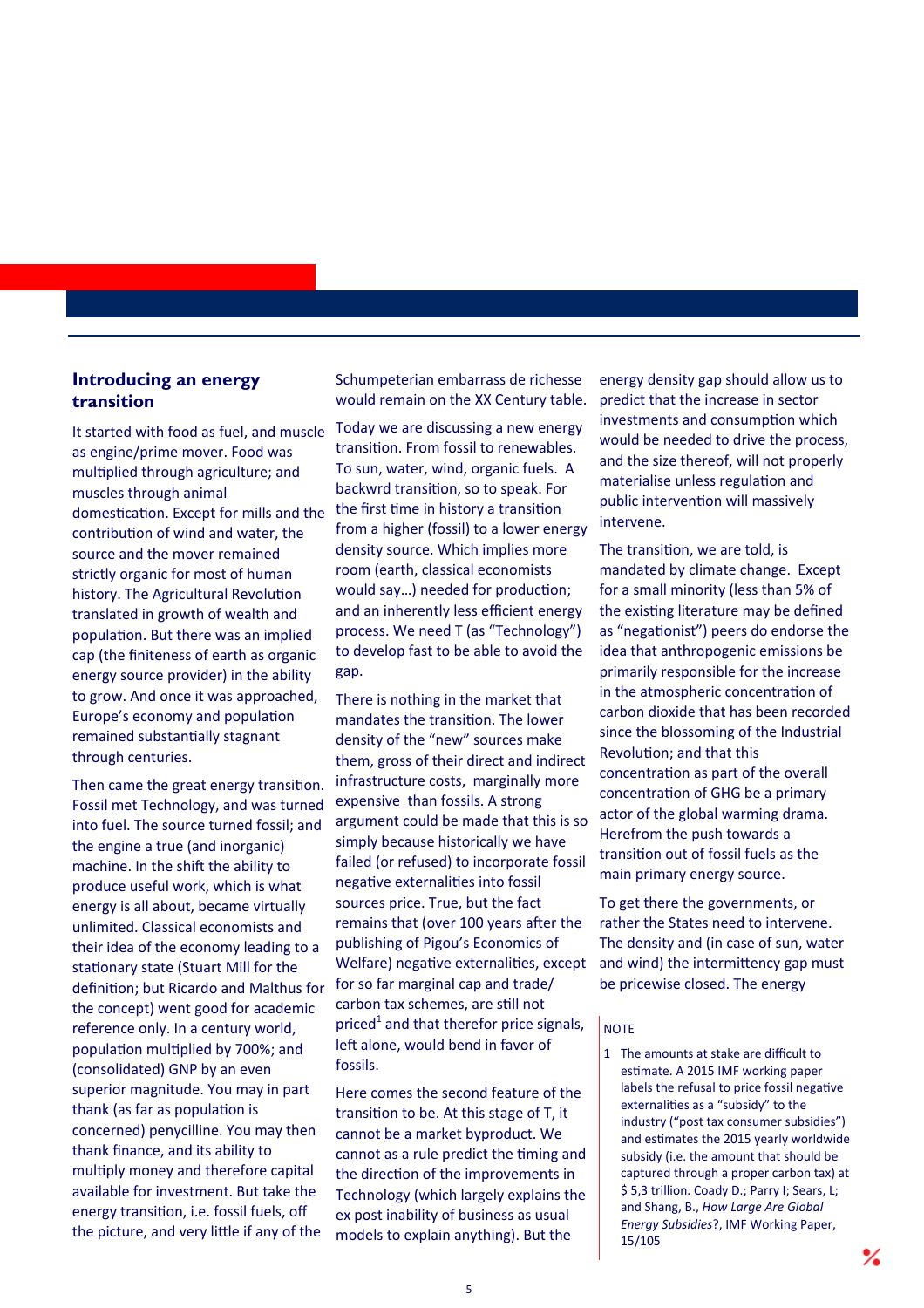# **Introducing an energy transition**

It started with food as fuel, and muscle as engine/prime mover. Food was multiplied through agriculture; and muscles through animal domestication. Except for mills and the contribution of wind and water, the source and the mover remained strictly organic for most of human history. The Agricultural Revolution translated in growth of wealth and population. But there was an implied cap (the finiteness of earth as organic energy source provider) in the ability to grow. And once it was approached, Europe's economy and population remained substantially stagnant through centuries.

Then came the great energy transition. Fossil met Technology, and was turned into fuel. The source turned fossil; and the engine a true (and inorganic) machine. In the shift the ability to produce useful work, which is what energy is all about, became virtually unlimited. Classical economists and their idea of the economy leading to a stationary state (Stuart Mill for the definition; but Ricardo and Malthus for the concept) went good for academic reference only. In a century world, population multiplied by 700%; and (consolidated) GNP by an even superior magnitude. You may in part thank (as far as population is concerned) penycilline. You may then thank finance, and its ability to multiply money and therefore capital available for investment. But take the energy transition, i.e. fossil fuels, off the picture, and very little if any of the

Schumpeterian embarrass de richesse would remain on the XX Century table.

Today we are discussing a new energy transition. From fossil to renewables. To sun, water, wind, organic fuels. A backwrd transition, so to speak. For the first time in history a transition from a higher (fossil) to a lower energy density source. Which implies more room (earth, classical economists would say...) needed for production; and an inherently less efficient energy process. We need T (as "Technology") to develop fast to be able to avoid the gap.

There is nothing in the market that mandates the transition. The lower density of the "new" sources make them, gross of their direct and indirect infrastructure costs, marginally more expensive than fossils. A strong argument could be made that this is so simply because historically we have failed (or refused) to incorporate fossil negative externalities into fossil sources price. True, but the fact remains that (over 100 years after the publishing of Pigou's Economics of Welfare) negative externalities, except for so far marginal cap and trade/ carbon tax schemes, are still not priced<sup>1</sup> and that therefor price signals, left alone, would bend in favor of fossils.

Here comes the second feature of the transition to be. At this stage of T, it cannot be a market byproduct. We cannot as a rule predict the timing and the direction of the improvements in Technology (which largely explains the ex post inability of business as usual models to explain anything). But the

energy density gap should allow us to predict that the increase in sector investments and consumption which would be needed to drive the process, and the size thereof, will not properly materialise unless regulation and public intervention will massively intervene.

The transition, we are told, is mandated by climate change. Except for a small minority (less than 5% of the existing literature may be defined as "negationist") peers do endorse the idea that anthropogenic emissions be primarily responsible for the increase in the atmospheric concentration of carbon dioxide that has been recorded since the blossoming of the Industrial Revolution; and that this concentration as part of the overall concentration of GHG be a primary actor of the global warming drama. Herefrom the push towards a transition out of fossil fuels as the main primary energy source.

To get there the governments, or rather the States need to intervene. The density and (in case of sun, water and wind) the intermittency gap must be pricewise closed. The energy

# **NOTE**

1 The amounts at stake are difficult to estimate. A 2015 IMF working paper labels the refusal to price fossil negative externalities as a "subsidy" to the industry ("post tax consumer subsidies") and estimates the 2015 yearly worldwide subsidy (i.e. the amount that should be captured through a proper carbon tax) at \$ 5,3 trillion. Coady D.; Parry I; Sears, L; and Shang, B., *How Large Are Global Energy Subsidies*?, IMF Working Paper, 15/105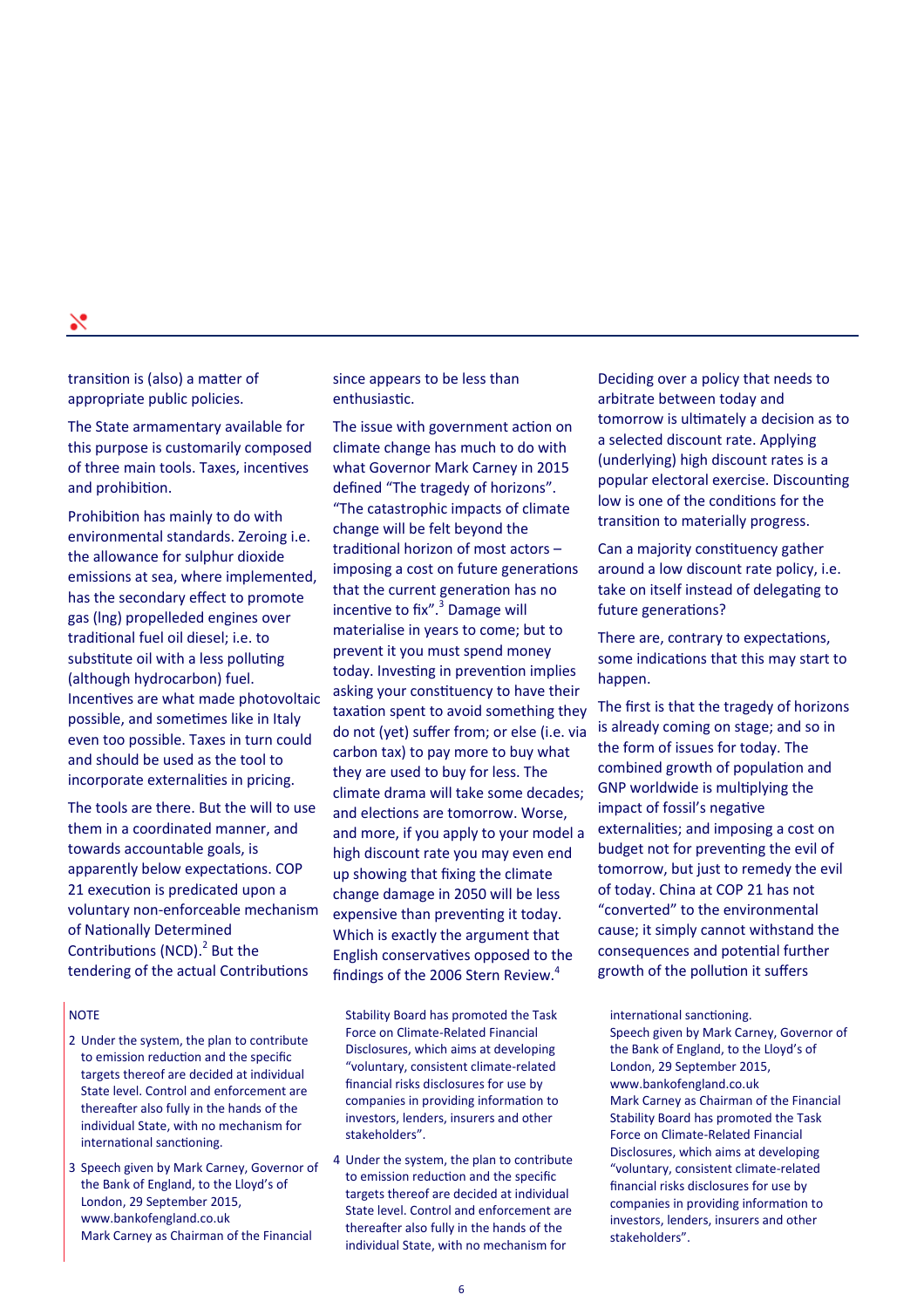transition is (also) a matter of appropriate public policies.

The State armamentary available for this purpose is customarily composed of three main tools. Taxes, incentives and prohibition.

Prohibition has mainly to do with environmental standards. Zeroing i.e. the allowance for sulphur dioxide emissions at sea, where implemented, has the secondary effect to promote gas (lng) propelleded engines over traditional fuel oil diesel; i.e. to substitute oil with a less polluting (although hydrocarbon) fuel. Incentives are what made photovoltaic possible, and sometimes like in Italy even too possible. Taxes in turn could and should be used as the tool to incorporate externalities in pricing.

The tools are there. But the will to use them in a coordinated manner, and towards accountable goals, is apparently below expectations. COP 21 execution is predicated upon a voluntary non‐enforceable mechanism of Nationally Determined Contributions (NCD). $^2$  But the tendering of the actual Contributions

# **NOTE**

- 2 Under the system, the plan to contribute to emission reduction and the specific targets thereof are decided at individual State level. Control and enforcement are thereafter also fully in the hands of the individual State, with no mechanism for international sanctioning.
- 3 Speech given by Mark Carney, Governor of the Bank of England, to the Lloyd's of London, 29 September 2015, www.bankofengland.co.uk Mark Carney as Chairman of the Financial

since appears to be less than enthusiastic.

The issue with government action on climate change has much to do with what Governor Mark Carney in 2015 defined "The tragedy of horizons". "The catastrophic impacts of climate change will be felt beyond the traditional horizon of most actors imposing a cost on future generations that the current generation has no incentive to fix".<sup>3</sup> Damage will materialise in years to come; but to prevent it you must spend money today. Investing in prevention implies asking your constituency to have their taxation spent to avoid something they do not (yet) suffer from; or else (i.e. via carbon tax) to pay more to buy what they are used to buy for less. The climate drama will take some decades; and elections are tomorrow. Worse, and more, if you apply to your model a high discount rate you may even end up showing that fixing the climate change damage in 2050 will be less expensive than preventing it today. Which is exactly the argument that English conservatives opposed to the findings of the 2006 Stern Review. $4$ 

Stability Board has promoted the Task Force on Climate‐Related Financial Disclosures, which aims at developing "voluntary, consistent climate‐related financial risks disclosures for use by companies in providing information to investors, lenders, insurers and other stakeholders".

4 Under the system, the plan to contribute to emission reduction and the specific targets thereof are decided at individual State level. Control and enforcement are thereafter also fully in the hands of the individual State, with no mechanism for

Deciding over a policy that needs to arbitrate between today and tomorrow is ultimately a decision as to a selected discount rate. Applying (underlying) high discount rates is a popular electoral exercise. Discounting low is one of the conditions for the transition to materially progress.

Can a majority constituency gather around a low discount rate policy, i.e. take on itself instead of delegating to future generations?

There are, contrary to expectations, some indications that this may start to happen.

The first is that the tragedy of horizons is already coming on stage; and so in the form of issues for today. The combined growth of population and GNP worldwide is multiplying the impact of fossil's negative externalities; and imposing a cost on budget not for preventing the evil of tomorrow, but just to remedy the evil of today. China at COP 21 has not "converted" to the environmental cause; it simply cannot withstand the consequences and potential further growth of the pollution it suffers

international sanctioning. Speech given by Mark Carney, Governor of the Bank of England, to the Lloyd's of London, 29 September 2015, www.bankofengland.co.uk Mark Carney as Chairman of the Financial Stability Board has promoted the Task Force on Climate‐Related Financial Disclosures, which aims at developing "voluntary, consistent climate‐related financial risks disclosures for use by companies in providing information to investors, lenders, insurers and other stakeholders".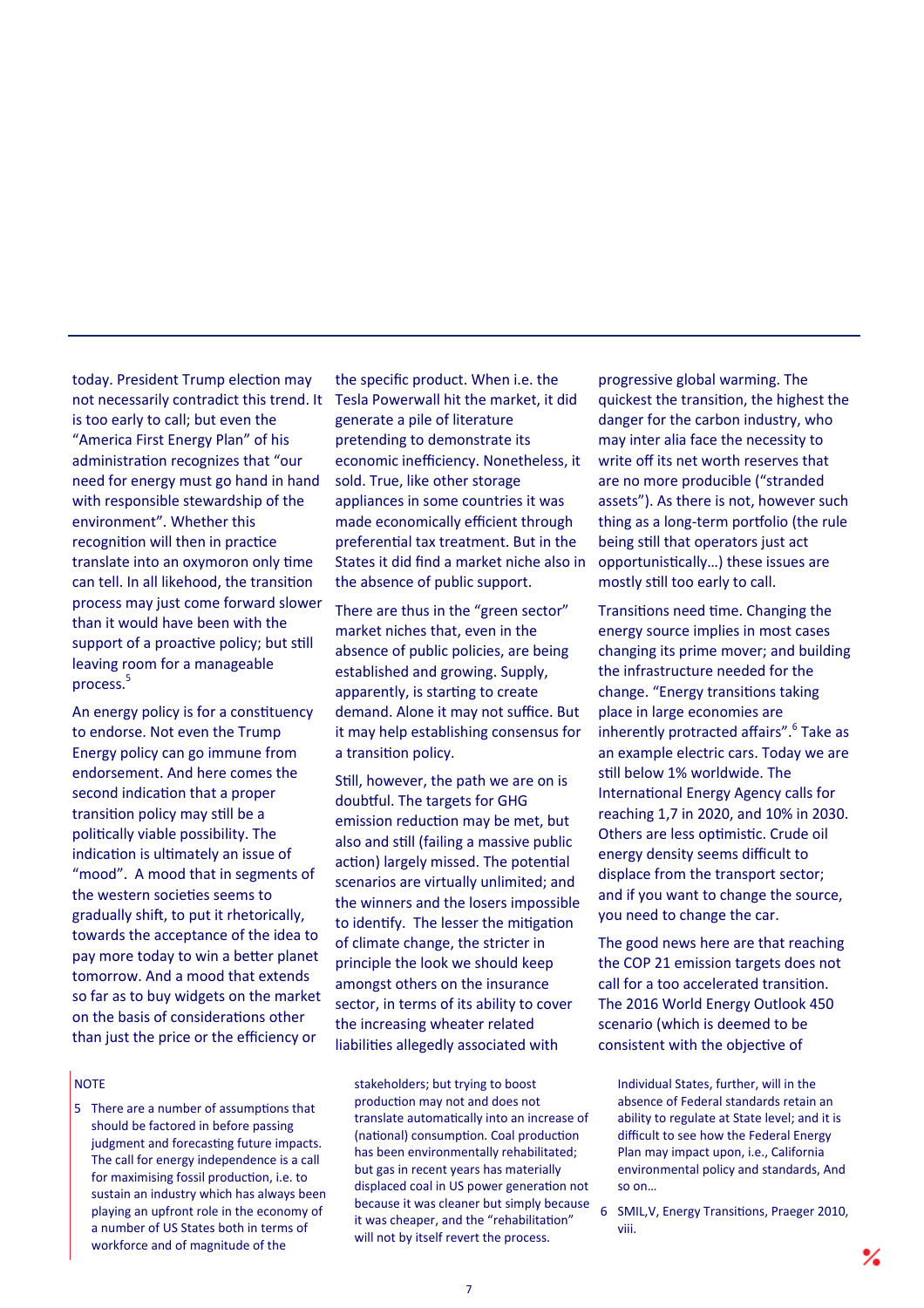today. President Trump election may not necessarily contradict this trend. It is too early to call; but even the "America First Energy Plan" of his administration recognizes that "our need for energy must go hand in hand with responsible stewardship of the environment". Whether this recognition will then in practice translate into an oxymoron only time can tell. In all likehood, the transition process may just come forward slower than it would have been with the support of a proactive policy; but still leaving room for a manageable process.<sup>5</sup>

An energy policy is for a constituency to endorse. Not even the Trump Energy policy can go immune from endorsement. And here comes the second indication that a proper transition policy may still be a politically viable possibility. The indication is ultimately an issue of "mood". A mood that in segments of the western societies seems to gradually shift, to put it rhetorically, towards the acceptance of the idea to pay more today to win a better planet tomorrow. And a mood that extends so far as to buy widgets on the market on the basis of considerations other than just the price or the efficiency or

# **NOTE**

5 There are a number of assumptions that should be factored in before passing judgment and forecasting future impacts. The call for energy independence is a call for maximising fossil production, i.e. to sustain an industry which has always been playing an upfront role in the economy of a number of US States both in terms of workforce and of magnitude of the

the specific product. When i.e. the Tesla Powerwall hit the market, it did generate a pile of literature pretending to demonstrate its economic inefficiency. Nonetheless, it sold. True, like other storage appliances in some countries it was made economically efficient through preferential tax treatment. But in the States it did find a market niche also in the absence of public support.

There are thus in the "green sector" market niches that, even in the absence of public policies, are being established and growing. Supply, apparently, is starting to create demand. Alone it may not suffice. But it may help establishing consensus for a transition policy.

Still, however, the path we are on is doubtful. The targets for GHG emission reduction may be met, but also and still (failing a massive public action) largely missed. The potential scenarios are virtually unlimited; and the winners and the losers impossible to identify. The lesser the mitigation of climate change, the stricter in principle the look we should keep amongst others on the insurance sector, in terms of its ability to cover the increasing wheater related liabilities allegedly associated with

stakeholders; but trying to boost production may not and does not translate automatically into an increase of (national) consumption. Coal production has been environmentally rehabilitated; but gas in recent years has materially displaced coal in US power generation not because it was cleaner but simply because it was cheaper, and the "rehabilitation" will not by itself revert the process.

progressive global warming. The quickest the transition, the highest the danger for the carbon industry, who may inter alia face the necessity to write off its net worth reserves that are no more producible ("stranded assets"). As there is not, however such thing as a long-term portfolio (the rule being still that operators just act opportunistically...) these issues are mostly still too early to call.

Transitions need time. Changing the energy source implies in most cases changing its prime mover; and building the infrastructure needed for the change. "Energy transitions taking place in large economies are inherently protracted affairs".<sup>6</sup> Take as an example electric cars. Today we are still below 1% worldwide. The International Energy Agency calls for reaching 1,7 in 2020, and 10% in 2030. Others are less optimistic. Crude oil energy density seems difficult to displace from the transport sector; and if you want to change the source, you need to change the car.

The good news here are that reaching the COP 21 emission targets does not call for a too accelerated transition. The 2016 World Energy Outlook 450 scenario (which is deemed to be consistent with the objective of

Individual States, further, will in the absence of Federal standards retain an ability to regulate at State level; and it is difficult to see how the Federal Energy Plan may impact upon, i.e., California environmental policy and standards, And so on…

<sup>6</sup> SMIL, V, Energy Transitions, Praeger 2010, viii.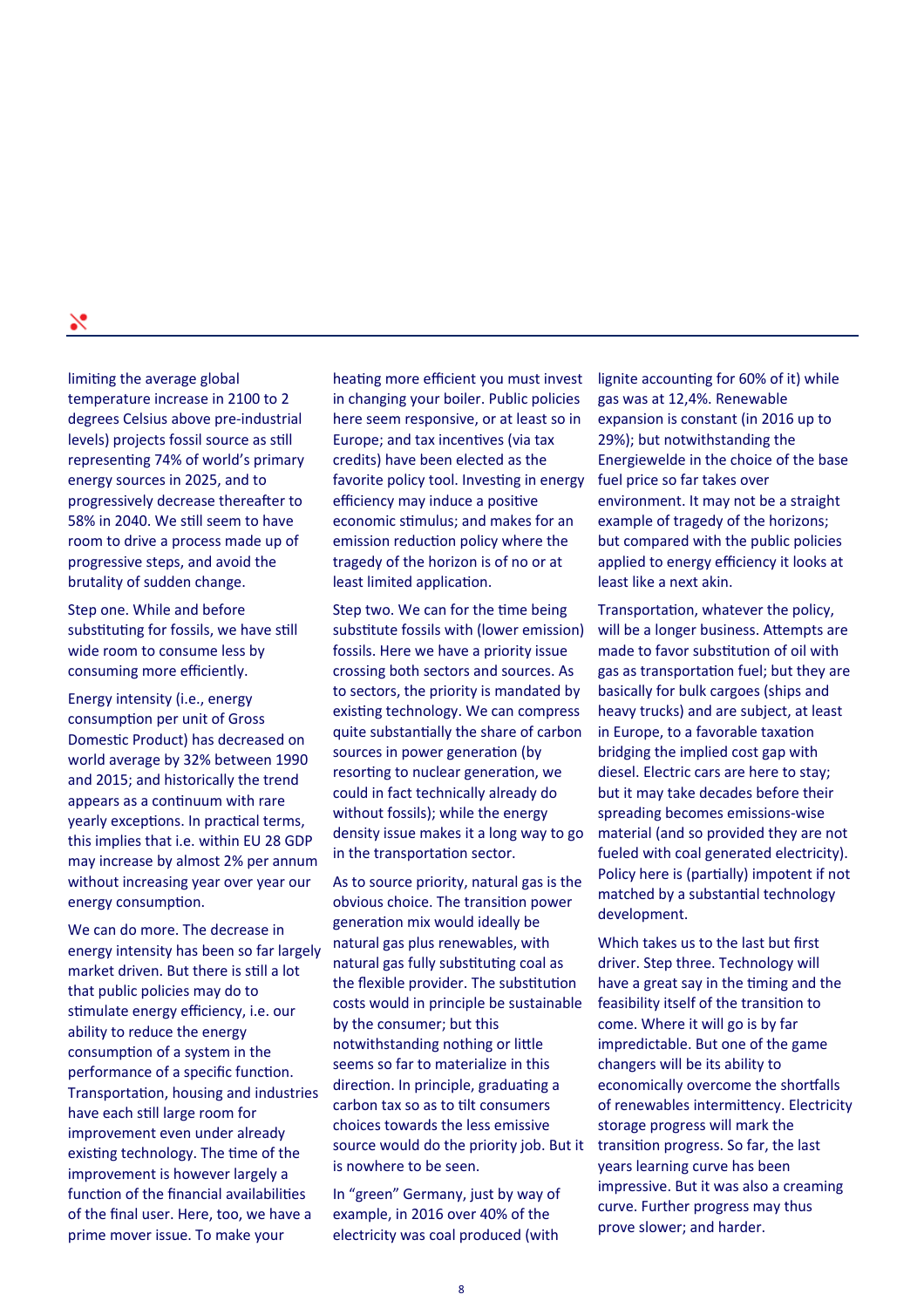limiting the average global temperature increase in 2100 to 2 degrees Celsius above pre‐industrial levels) projects fossil source as still representing 74% of world's primary energy sources in 2025, and to progressively decrease thereafter to 58% in 2040. We sƟll seem to have room to drive a process made up of progressive steps, and avoid the brutality of sudden change.

Step one. While and before substituting for fossils, we have still wide room to consume less by consuming more efficiently.

Energy intensity (i.e., energy consumption per unit of Gross Domestic Product) has decreased on world average by 32% between 1990 and 2015; and historically the trend appears as a continuum with rare yearly exceptions. In practical terms, this implies that i.e. within EU 28 GDP may increase by almost 2% per annum without increasing year over year our energy consumption.

We can do more. The decrease in energy intensity has been so far largely market driven. But there is still a lot that public policies may do to stimulate energy efficiency, i.e. our ability to reduce the energy consumption of a system in the performance of a specific function. Transportation, housing and industries have each still large room for improvement even under already existing technology. The time of the improvement is however largely a function of the financial availabilities of the final user. Here, too, we have a prime mover issue. To make your

heating more efficient you must invest in changing your boiler. Public policies here seem responsive, or at least so in Europe; and tax incentives (via tax credits) have been elected as the favorite policy tool. Investing in energy efficiency may induce a positive economic stimulus; and makes for an emission reduction policy where the tragedy of the horizon is of no or at least limited application.

Step two. We can for the time being substitute fossils with (lower emission) fossils. Here we have a priority issue crossing both sectors and sources. As to sectors, the priority is mandated by existing technology. We can compress quite substantially the share of carbon sources in power generation (by resorting to nuclear generation, we could in fact technically already do without fossils); while the energy density issue makes it a long way to go in the transportation sector.

As to source priority, natural gas is the obvious choice. The transition power generation mix would ideally be natural gas plus renewables, with natural gas fully substituting coal as the flexible provider. The substitution costs would in principle be sustainable by the consumer; but this notwithstanding nothing or little seems so far to materialize in this direction. In principle, graduating a carbon tax so as to Ɵlt consumers choices towards the less emissive source would do the priority job. But it is nowhere to be seen.

In "green" Germany, just by way of example, in 2016 over 40% of the electricity was coal produced (with

lignite accounting for 60% of it) while gas was at 12,4%. Renewable expansion is constant (in 2016 up to 29%); but notwithstanding the Energiewelde in the choice of the base fuel price so far takes over environment. It may not be a straight example of tragedy of the horizons; but compared with the public policies applied to energy efficiency it looks at least like a next akin.

Transportation, whatever the policy, will be a longer business. Attempts are made to favor substitution of oil with gas as transportation fuel; but they are basically for bulk cargoes (ships and heavy trucks) and are subject, at least in Europe, to a favorable taxation bridging the implied cost gap with diesel. Electric cars are here to stay; but it may take decades before their spreading becomes emissions‐wise material (and so provided they are not fueled with coal generated electricity). Policy here is (partially) impotent if not matched by a substantial technology development.

Which takes us to the last but first driver. Step three. Technology will have a great say in the timing and the feasibility itself of the transition to come. Where it will go is by far impredictable. But one of the game changers will be its ability to economically overcome the shortfalls of renewables intermittency. Electricity storage progress will mark the transition progress. So far, the last years learning curve has been impressive. But it was also a creaming curve. Further progress may thus prove slower; and harder.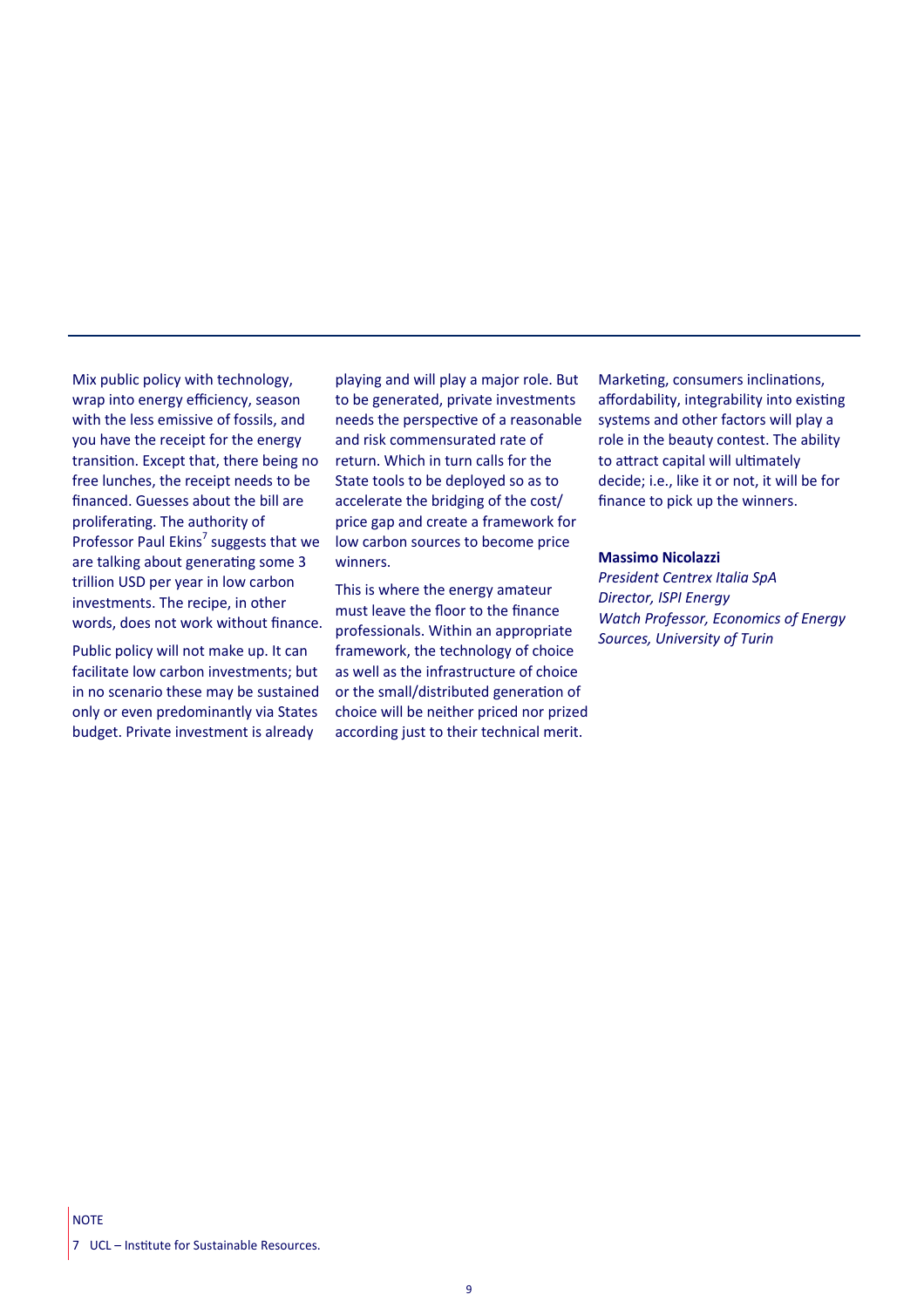Mix public policy with technology, wrap into energy efficiency, season with the less emissive of fossils, and you have the receipt for the energy transition. Except that, there being no free lunches, the receipt needs to be financed. Guesses about the bill are proliferating. The authority of Professor Paul Ekins<sup>7</sup> suggests that we are talking about generating some 3 trillion USD per year in low carbon investments. The recipe, in other words, does not work without finance.

Public policy will not make up. It can facilitate low carbon investments; but in no scenario these may be sustained only or even predominantly via States budget. Private investment is already

playing and will play a major role. But to be generated, private investments needs the perspective of a reasonable and risk commensurated rate of return. Which in turn calls for the State tools to be deployed so as to accelerate the bridging of the cost/ price gap and create a framework for low carbon sources to become price winners.

This is where the energy amateur must leave the floor to the finance professionals. Within an appropriate framework, the technology of choice as well as the infrastructure of choice or the small/distributed generation of choice will be neither priced nor prized according just to their technical merit.

Marketing, consumers inclinations, affordability, integrability into existing systems and other factors will play a role in the beauty contest. The ability to attract capital will ultimately decide; i.e., like it or not, it will be for finance to pick up the winners.

#### **Massimo Nicolazzi**

*President Centrex Italia SpA Director, ISPI Energy Watch Professor, Economics of Energy Sources, University of Turin*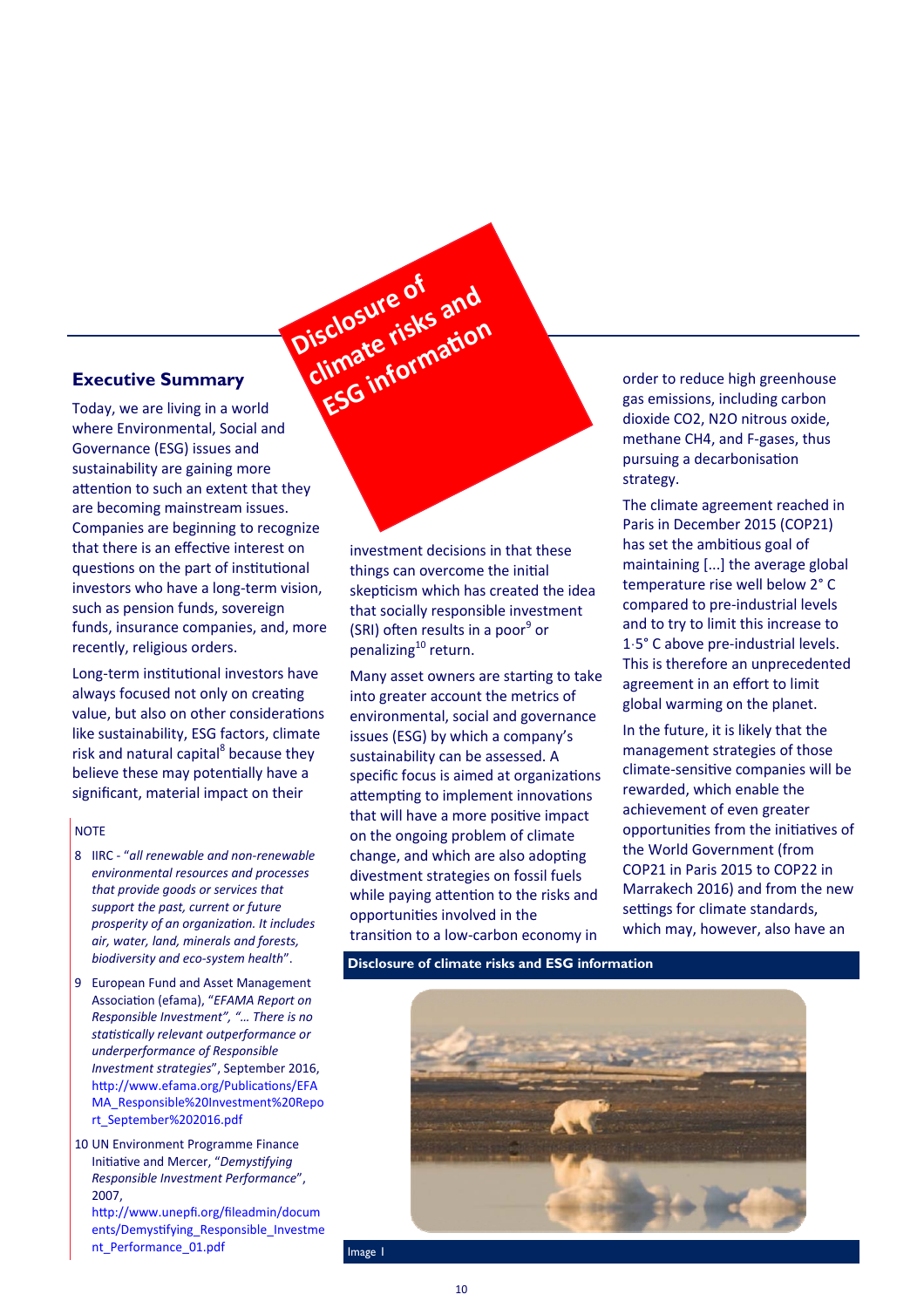# **Executive Summary**

Today, we are living in a world where Environmental, Social and Governance (ESG) issues and sustainability are gaining more attention to such an extent that they are becoming mainstream issues. Companies are beginning to recognize that there is an effective interest on questions on the part of institutional investors who have a long‐term vision, such as pension funds, sovereign funds, insurance companies, and, more recently, religious orders. cluste risks<br>limate risks<br>ESG information

Long-term institutional investors have always focused not only on creating value, but also on other considerations like sustainability, ESG factors, climate risk and natural capital<sup>8</sup> because they believe these may potentially have a significant, material impact on their

# **NOTE**

- 8 IIRC ‐ "*all renewable and non‐renewable environmental resources and processes that provide goods or services that support the past, current or future prosperity of an organizaƟon. It includes air, water, land, minerals and forests, biodiversity and eco‐system health*".
- 9 European Fund and Asset Management Association (efama), "EFAMA Report on *Responsible Investment", "… There is no staƟsƟcally relevant outperformance or underperformance of Responsible Investment strategies*", September 2016, http://www.efama.org/Publications/EFA MA\_Responsible%20Investment%20Repo rt\_September%202016.pdf

10 UN Environment Programme Finance Initiative and Mercer, "Demystifying *Responsible Investment Performance*", 2007, http://www.unepfi.org/fileadmin/docum ents/Demystifying\_Responsible\_Investme nt\_Performance\_01.pdf

investment decisions in that these things can overcome the initial skepticism which has created the idea that socially responsible investment (SRI) often results in a poor<sup>9</sup> or penalizing<sup>10</sup> return.

**Disclosure of climate risks and**

Many asset owners are starting to take into greater account the metrics of environmental, social and governance issues (ESG) by which a company's sustainability can be assessed. A specific focus is aimed at organizations attempting to implement innovations that will have a more positive impact on the ongoing problem of climate change, and which are also adopting divestment strategies on fossil fuels while paying attention to the risks and opportuniƟes involved in the transition to a low-carbon economy in

order to reduce high greenhouse gas emissions, including carbon dioxide CO2, N2O nitrous oxide, methane CH4, and F‐gases, thus pursuing a decarbonisation strategy.

The climate agreement reached in Paris in December 2015 (COP21) has set the ambitious goal of maintaining [...] the average global temperature rise well below 2° C compared to pre‐industrial levels and to try to limit this increase to 1ˑ5° C above pre‐industrial levels. This is therefore an unprecedented agreement in an effort to limit global warming on the planet.

In the future, it is likely that the management strategies of those climate-sensitive companies will be rewarded, which enable the achievement of even greater opportunities from the initiatives of the World Government (from COP21 in Paris 2015 to COP22 in Marrakech 2016) and from the new settings for climate standards, which may, however, also have an

**Disclosure of climate risks and ESG information** 



Image 1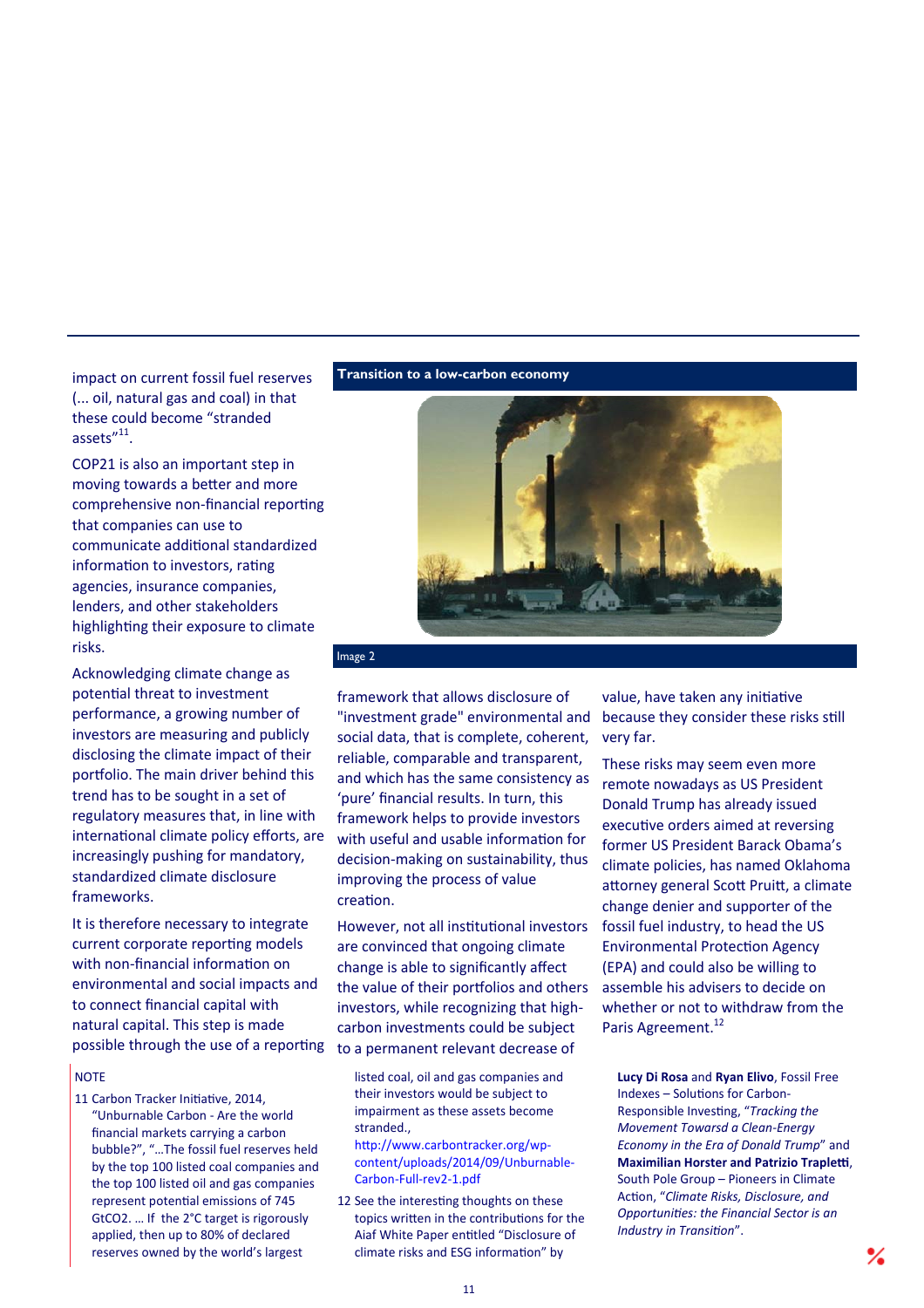impact on current fossil fuel reserves (... oil, natural gas and coal) in that these could become "stranded assets"11.

COP21 is also an important step in moving towards a better and more comprehensive non-financial reporting that companies can use to communicate additional standardized information to investors, rating agencies, insurance companies, lenders, and other stakeholders highlighting their exposure to climate risks.

Acknowledging climate change as potential threat to investment performance, a growing number of investors are measuring and publicly disclosing the climate impact of their portfolio. The main driver behind this trend has to be sought in a set of regulatory measures that, in line with international climate policy efforts, are increasingly pushing for mandatory, standardized climate disclosure frameworks.

It is therefore necessary to integrate current corporate reporting models with non-financial information on environmental and social impacts and to connect financial capital with natural capital. This step is made possible through the use of a reporting

#### **NOTE**

11 Carbon Tracker Initiative, 2014. "Unburnable Carbon ‐ Are the world financial markets carrying a carbon bubble?", "…The fossil fuel reserves held by the top 100 listed coal companies and the top 100 listed oil and gas companies represent potential emissions of 745 GtCO2. … If the 2°C target is rigorously applied, then up to 80% of declared reserves owned by the world's largest

**Transition to a low-carbon economy** 



# Image 2

framework that allows disclosure of "investment grade" environmental and social data, that is complete, coherent, reliable, comparable and transparent, and which has the same consistency as 'pure' financial results. In turn, this framework helps to provide investors with useful and usable information for decision‐making on sustainability, thus improving the process of value creation.

However, not all institutional investors are convinced that ongoing climate change is able to significantly affect the value of their portfolios and others investors, while recognizing that high‐ carbon investments could be subject to a permanent relevant decrease of

listed coal, oil and gas companies and their investors would be subject to impairment as these assets become stranded.,

http://www.carbontracker.org/wpcontent/uploads/2014/09/Unburnable‐ Carbon‐Full‐rev2‐1.pdf

12 See the interesting thoughts on these topics written in the contributions for the Aiaf White Paper enƟtled "Disclosure of climate risks and ESG information" by

value, have taken any initiative because they consider these risks still very far.

These risks may seem even more remote nowadays as US President Donald Trump has already issued executive orders aimed at reversing former US President Barack Obama's climate policies, has named Oklahoma attorney general Scott Pruitt, a climate change denier and supporter of the fossil fuel industry, to head the US Environmental ProtecƟon Agency (EPA) and could also be willing to assemble his advisers to decide on whether or not to withdraw from the Paris Agreement.<sup>12</sup>

**Lucy Di Rosa** and **Ryan Elivo**, Fossil Free Indexes – Solutions for Carbon-Responsible InvesƟng, "*Tracking the Movement Towarsd a Clean‐Energy Economy in the Era of Donald Trump*" and **Maximilian Horster and Patrizio Trapletti,** South Pole Group – Pioneers in Climate AcƟon, "*Climate Risks, Disclosure, and OpportuniƟes: the Financial Sector is an*  **Industry in Transition".**